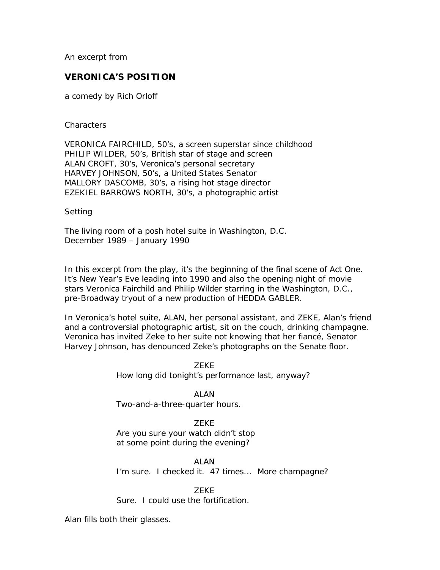An excerpt from

# **VERONICA'S POSITION**

a comedy by Rich Orloff

#### *Characters*

VERONICA FAIRCHILD, 50's, a screen superstar since childhood PHILIP WILDER, 50's, British star of stage and screen ALAN CROFT, 30's, Veronica's personal secretary HARVEY JOHNSON, 50's, a United States Senator MALLORY DASCOMB, 30's, a rising hot stage director EZEKIEL BARROWS NORTH, 30's, a photographic artist

## *Setting*

The living room of a posh hotel suite in Washington, D.C. December 1989 – January 1990

In this excerpt from the play, it's the beginning of the final scene of Act One. It's New Year's Eve leading into 1990 and also the opening night of movie stars Veronica Fairchild and Philip Wilder starring in the Washington, D.C., pre-Broadway tryout of a new production of HEDDA GABLER.

In Veronica's hotel suite, ALAN, her personal assistant, and ZEKE, Alan's friend and a controversial photographic artist, sit on the couch, drinking champagne. Veronica has invited Zeke to her suite not knowing that her fiancé, Senator Harvey Johnson, has denounced Zeke's photographs on the Senate floor.

> ZEKE How long did tonight's performance last, anyway?

 ALAN Two-and-a-three-quarter hours.

# ZEKE

Are you sure your watch didn't stop at some point during the evening?

#### **ALAN**

I'm sure. I checked it. 47 times... More champagne?

## ZEKE

Sure. I could use the fortification.

Alan fills both their glasses.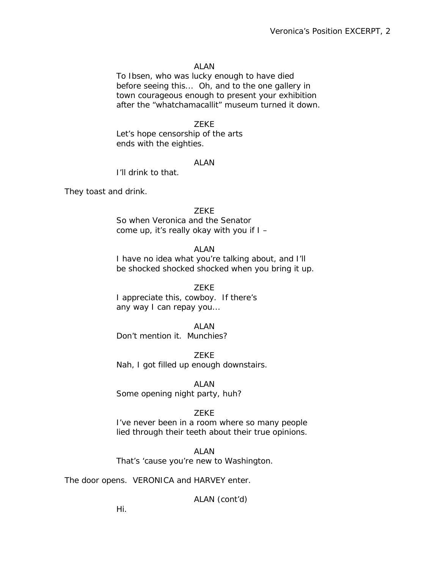# ALAN

To Ibsen, who was lucky enough to have died before seeing this... Oh, and to the one gallery in town courageous enough to present your exhibition after the "whatchamacallit" museum turned it down.

# **ZEKE**

Let's hope censorship of the arts ends with the eighties.

## ALAN

I'll drink to that.

They toast and drink.

#### ZEKE

So when Veronica and the Senator come up, it's really okay with you if I –

# **ALAN**

I have no idea what you're talking about, and I'll be shocked shocked shocked when you bring it up.

# ZEKE

I appreciate this, cowboy. If there's any way I can repay you...

# **ALAN**

Don't mention it. Munchies?

**ZEKE** Nah, I got filled up enough downstairs.

ALAN

Some opening night party, huh?

# ZEKE

I've never been in a room where so many people lied through their teeth about their true opinions.

#### ALAN

That's 'cause you're new to Washington.

The door opens. VERONICA and HARVEY enter.

ALAN (cont'd)

Hi.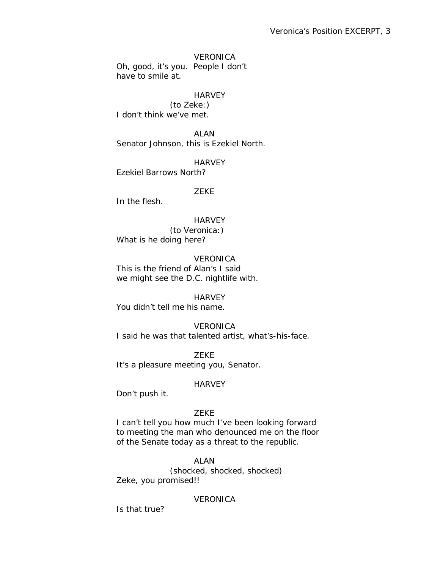VERONICA Oh, good, it's you. People I don't have to smile at.

# **HARVEY**

 (to Zeke:) I don't think we've met.

**ALAN** Senator Johnson, this is Ezekiel North.

**HARVEY** Ezekiel Barrows North?

# ZEKE

In the flesh.

**HARVEY**  (to Veronica:) What is *he* doing here?

**VERONICA** This is the friend of Alan's I said we might see the D.C. nightlife with.

**HARVEY** You didn't tell me his name.

**VERONICA** I said he was that talented artist, what's-his-face.

 ZEKE It's a pleasure meeting you, Senator.

# **HARVEY**

Don't push it.

# ZEKE

I can't tell you how much I've been looking forward to meeting the man who denounced me on the floor of the Senate today as a threat to the republic.

ALAN

 (shocked, shocked, shocked) Zeke, you promised!!

# **VERONICA**

Is that true?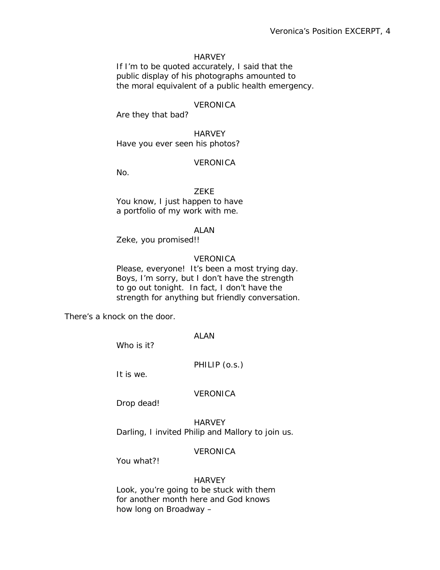# **HARVEY**

If I'm to be quoted accurately, I said that the public display of his photographs amounted to the moral equivalent of a public health emergency.

# **VERONICA**

Are they that bad?

**HARVEY** Have you ever *seen* his photos?

#### VERONICA

No.

 ZEKE You know, I just happen to have a portfolio of my work with me.

ALAN

Zeke, you promised!!

## **VERONICA**

Please, everyone! It's been a most trying day. Boys, I'm sorry, but I don't have the strength to go out tonight. In fact, I don't have the strength for anything but *friendly* conversation.

There's a knock on the door.

ALAN

Who is it?

PHILIP (o.s.)

It is we.

**VERONICA** 

Drop dead!

 HARVEY Darling, I invited Philip and Mallory to join us.

# **VERONICA**

You what?!

# **HARVEY**

Look, you're going to be stuck with them for another month here and God knows how long on Broadway –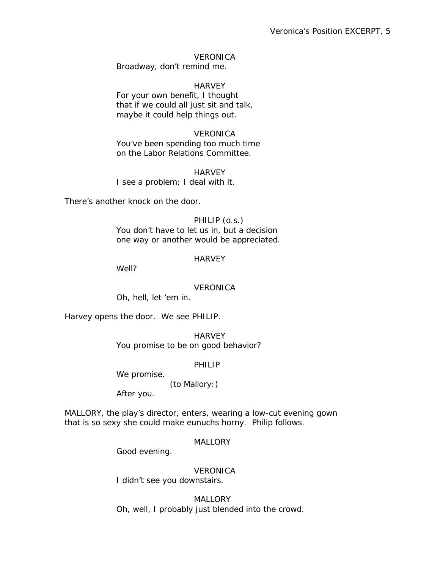# **VERONICA**

Broadway, don't remind me.

## **HARVEY**

For your own benefit, I thought that if we could all just sit and talk, maybe it could help things out.

# **VERONICA**

You've been spending too much time on the Labor Relations Committee.

**HARVEY** I see a problem; I deal with it.

There's another knock on the door.

## PHILIP (o.s.)

You don't have to let us in, but a decision one way or another would be appreciated.

## **HARVFY**

Well?

#### VERONICA

Oh, hell, let 'em in.

Harvey opens the door. We see PHILIP.

**HARVEY** You promise to be on good behavior?

#### PHILIP

We promise.

(to Mallory:)

After you.

MALLORY, the play's director, enters, wearing a low-cut evening gown that is so sexy she could make eunuchs horny. Philip follows.

# **MALLORY**

Good evening.

# VERONICA

I didn't see you downstairs.

**MALLORY** Oh, well, I probably just blended into the crowd.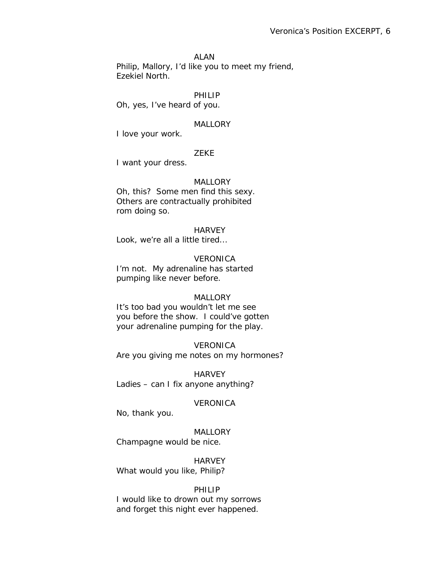#### ALAN

Philip, Mallory, I'd like you to meet my friend, Ezekiel North.

## PHILIP

Oh, yes, I've heard of you.

#### **MALLORY**

I love your work.

## ZEKE

I want your dress.

## **MALLORY**

Oh, this? Some men find this sexy. Others are contractually prohibited rom doing so.

#### **HARVEY**

Look, we're all a little tired...

#### **VERONICA**

I'm not. My adrenaline has started pumping like never before.

# MALLORY

It's too bad you wouldn't let me see you before the show. I could've gotten your adrenaline pumping for the play.

#### VERONICA

Are you giving me notes on my hormones?

**HARVEY** *Ladies* – can I fix anyone anything?

# **VERONICA**

No, thank you.

# **MALLORY**

Champagne would be nice.

**HARVEY** What would you like, Philip?

## PHILIP

I would like to drown out my sorrows and forget this night ever happened.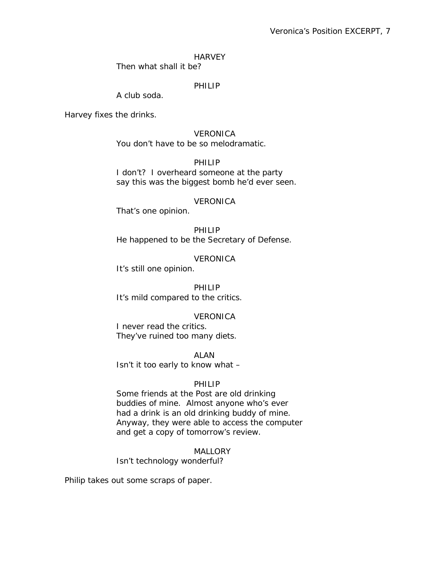# Veronica's Position EXCERPT, 7

#### **HARVEY**

Then what shall it be?

## PHILIP

A club soda.

Harvey fixes the drinks.

 VERONICA You don't have to be so melodramatic.

PHILIP

I don't? I overheard someone at the party say this was the biggest bomb he'd ever seen.

# **VERONICA**

That's one opinion.

 PHILIP He happened to be the Secretary of Defense.

**VERONICA** 

It's still one opinion.

PHILIP It's mild compared to the critics.

# **VERONICA**

I never read the critics. They've ruined too many diets.

ALAN

Isn't it too early to know what –

#### PHILIP

Some friends at the *Post* are old drinking buddies of mine. Almost anyone who's ever had a drink is an old drinking buddy of mine. Anyway, they were able to access the computer and get a copy of tomorrow's review.

MALLORY

Isn't technology wonderful?

Philip takes out some scraps of paper.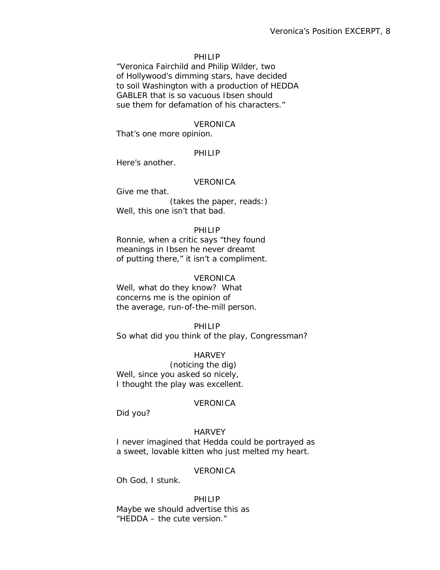#### PHILIP

"Veronica Fairchild and Philip Wilder, two of Hollywood's dimming stars, have decided to soil Washington with a production of HEDDA GABLER that is so vacuous Ibsen should sue them for defamation of his characters."

#### **VERONICA**

That's one more opinion.

#### PHILIP

Here's another.

# **VERONICA**

Give me that. (takes the paper, reads:) Well, this one isn't that bad.

#### PHILIP

Ronnie, when a critic says "they found meanings in Ibsen he never dreamt of putting there," it isn't a compliment.

#### **VERONICA**

Well, what do they know? What concerns me is the opinion of the average, run-of-the-mill person.

#### PHILIP

So what did *you* think of the play, Congressman?

#### **HARVEY**

 (noticing the dig) Well, since you asked so nicely, *I* thought the play was excellent.

#### VERONICA

Did you?

#### **HARVEY**

I never imagined that Hedda could be portrayed as a sweet, lovable kitten who just melted my heart.

#### **VERONICA**

Oh God, I stunk.

 PHILIP Maybe we should advertise this as "HEDDA – the cute version."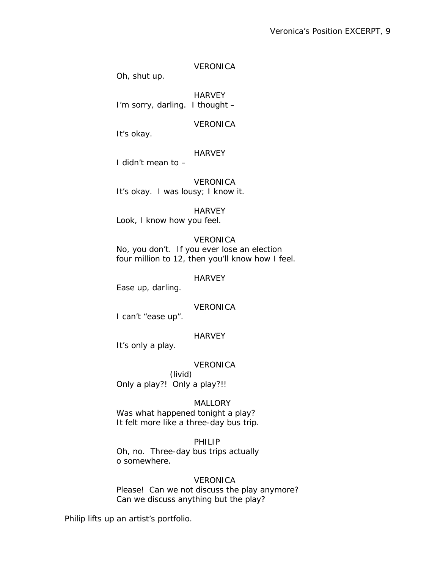# VERONICA

Oh, shut up.

**HARVEY** I'm sorry, darling. I thought –

VERONICA

It's okay.

# **HARVEY**

I didn't mean to –

 VERONICA It's *okay*. I was lousy; I know it.

# **HARVEY**

Look, I know how you feel.

# **VERONICA**

No, you don't. If you ever lose an election four million to 12, then you'll know how I feel.

HARVEY

Ease up, darling.

# **VERONICA**

I can't "ease up".

# **HARVEY**

It's only a play.

# **VERONICA**

 (livid) *Only* a play?! *Only* a play?!!

# MALLORY

Was what happened tonight a play? It felt more like a three-day bus trip.

# PHILIP

Oh, no. Three-day bus trips actually o somewhere.

# **VERONICA**

Please! Can we not discuss the play anymore? Can we discuss *anything* but the play?

Philip lifts up an artist's portfolio.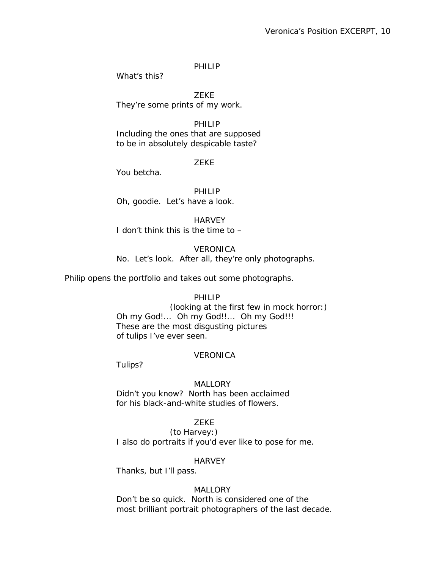# PHILIP

What's this?

 ZEKE They're some prints of my work.

 PHILIP Including the ones that are supposed to be in absolutely despicable taste?

# ZEKE

You betcha.

PHILIP Oh, goodie. Let's have a look.

**HARVEY** I don't think this is the time to –

# **VERONICA**

No. Let's look. After all, they're *only* photographs.

Philip opens the portfolio and takes out some photographs.

# PHILIP

 (looking at the first few in mock horror:) Oh my God!... Oh my God!!... Oh my God!!! These are the most disgusting pictures of tulips I've ever seen.

# VERONICA

Tulips?

# **MALLORY**

Didn't you know? North has been acclaimed for his black-and-white studies of flowers.

# ZEKE

 (to Harvey:) I also do portraits if you'd ever like to pose for me.

# **HARVEY**

Thanks, but I'll pass.

# **MALLORY**

Don't be so quick. North is considered one of the most brilliant portrait photographers of the last decade.